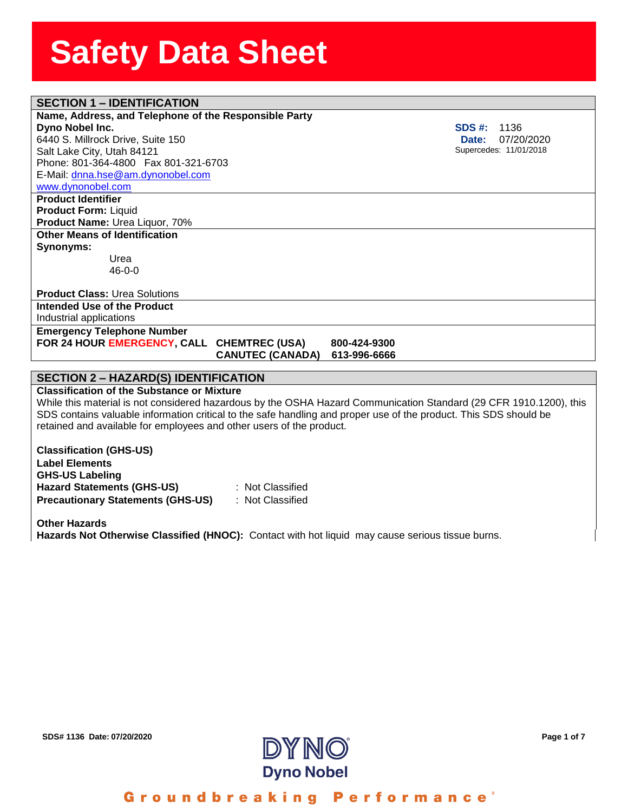### **SECTION 1 – IDENTIFICATION**

**Name, Address, and Telephon**<br>**Dyno Nobel Inc.**<br>6440 S. Millrock Drive, Suite 150 **Name, Address, and Telephone of the Responsible Party Dyno Nobel Inc.**  Salt Lake City, Utah 84121 Phone: 801-364-4800 Fax 801-321-6703 E-Mail: [dnna.hse@am.dynonobel.com](mailto:dnna.hse@am.dynonobel.com)  [www.dynonobel.com](http://www.dynonobel.com/)

**SDS #:** 1136  **Date:** 07/20/2020 Supercedes: 11/01/2018

**Product Identifier Product Form:** Liquid **Product Name:** Urea Liquor, 70% **Other Means of Identification Synonyms:** 

> Urea 46-0-0

**Product Class:** Urea Solutions **Intended Use of the Product** Industrial applications

**Emergency Telephone Number** FOR 24 HOUR **EMERGENCY, CALL CHEMTREC (USA)** 800-424-9300

 **CANUTEC (CANADA) 613-996-6666**

#### **SECTION 2 – HAZARD(S) IDENTIFICATION**

**Classification of the Substance or Mixture**

While this material is not considered hazardous by the OSHA Hazard Communication Standard (29 CFR 1910.1200), this SDS contains valuable information critical to the safe handling and proper use of the product. This SDS should be retained and available for employees and other users of the product.

**Classification (GHS-US) Label Elements GHS-US Labeling Hazard Statements (GHS-US)** : Not Classified **Precautionary Statements (GHS-US)** : Not Classified

**Other Hazards Hazards Not Otherwise Classified (HNOC):** Contact with hot liquid may cause serious tissue burns.



Groundbreaking Performance'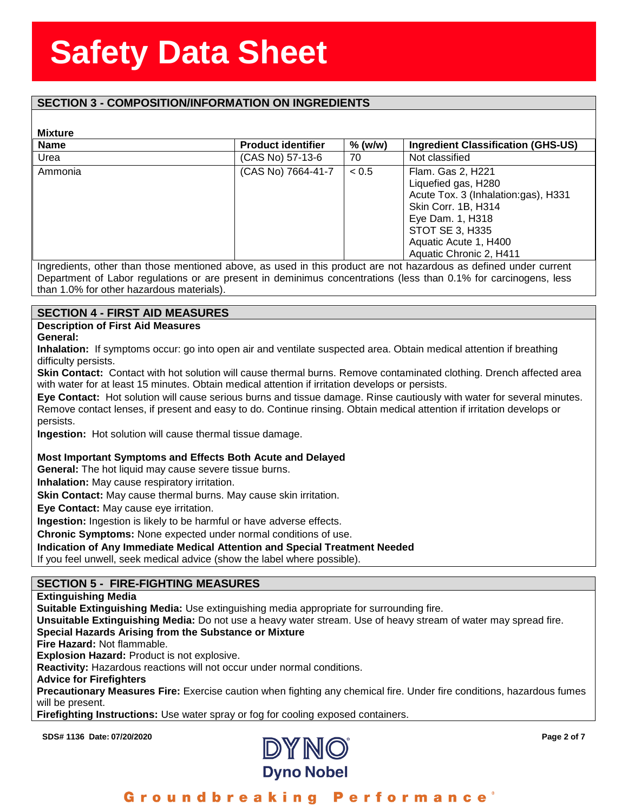### **SECTION 3 - COMPOSITION/INFORMATION ON INGREDIENTS**

#### **Mixture**

| <b>Mixture</b> |                           |           |                                                                                                                                                                                                   |
|----------------|---------------------------|-----------|---------------------------------------------------------------------------------------------------------------------------------------------------------------------------------------------------|
| <b>Name</b>    | <b>Product identifier</b> | $%$ (w/w) | <b>Ingredient Classification (GHS-US)</b>                                                                                                                                                         |
| Urea           | (CAS No) 57-13-6          | 70        | Not classified                                                                                                                                                                                    |
| Ammonia        | (CAS No) 7664-41-7        | < 0.5     | Flam. Gas 2, H221<br>Liquefied gas, H280<br>Acute Tox. 3 (Inhalation:gas), H331<br>Skin Corr. 1B, H314<br>Eye Dam. 1, H318<br>STOT SE 3, H335<br>Aquatic Acute 1, H400<br>Aquatic Chronic 2, H411 |

Ingredients, other than those mentioned above, as used in this product are not hazardous as defined under current Department of Labor regulations or are present in deminimus concentrations (less than 0.1% for carcinogens, less than 1.0% for other hazardous materials).

#### **SECTION 4 - FIRST AID MEASURES**

**Description of First Aid Measures**

**General:**

**Inhalation:** If symptoms occur: go into open air and ventilate suspected area. Obtain medical attention if breathing difficulty persists.

**Skin Contact:** Contact with hot solution will cause thermal burns. Remove contaminated clothing. Drench affected area with water for at least 15 minutes. Obtain medical attention if irritation develops or persists.

**Eye Contact:** Hot solution will cause serious burns and tissue damage. Rinse cautiously with water for several minutes. Remove contact lenses, if present and easy to do. Continue rinsing. Obtain medical attention if irritation develops or persists.

**Ingestion:** Hot solution will cause thermal tissue damage.

#### **Most Important Symptoms and Effects Both Acute and Delayed**

**General:** The hot liquid may cause severe tissue burns.

**Inhalation:** May cause respiratory irritation.

**Skin Contact:** May cause thermal burns. May cause skin irritation.

**Eye Contact:** May cause eye irritation.

**Ingestion:** Ingestion is likely to be harmful or have adverse effects.

**Chronic Symptoms:** None expected under normal conditions of use.

#### **Indication of Any Immediate Medical Attention and Special Treatment Needed**

If you feel unwell, seek medical advice (show the label where possible).

### **SECTION 5 - FIRE-FIGHTING MEASURES**

**Extinguishing Media**

**Suitable Extinguishing Media:** Use extinguishing media appropriate for surrounding fire.

**Unsuitable Extinguishing Media:** Do not use a heavy water stream. Use of heavy stream of water may spread fire.

#### **Special Hazards Arising from the Substance or Mixture**

**Fire Hazard:** Not flammable.

**Explosion Hazard:** Product is not explosive.

**Reactivity:** Hazardous reactions will not occur under normal conditions.

**Advice for Firefighters**

**Precautionary Measures Fire:** Exercise caution when fighting any chemical fire. Under fire conditions, hazardous fumes will be present.

**Firefighting Instructions:** Use water spray or fog for cooling exposed containers.

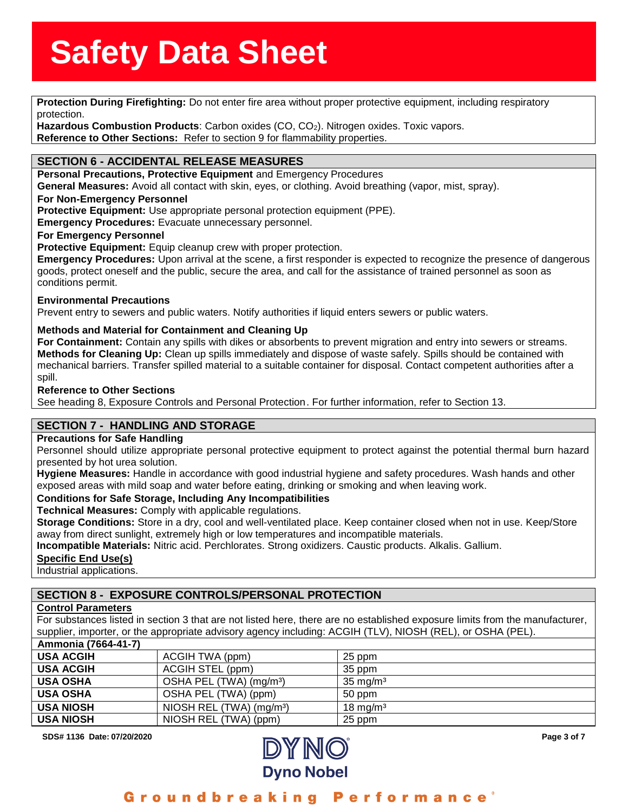**Protection During Firefighting:** Do not enter fire area without proper protective equipment, including respiratory<br>Protection During Firefighting: Do not enter fire area without proper protective equipment, including resp protection.

<sub>tection.</sub><br>zardous Combustion Proc<br>ference to Other Sections **Hazardous Combustion Products**: Carbon oxides (CO, CO2). Nitrogen oxides. Toxic vapors. **Reference to Other Sections:** Refer to section 9 for flammability properties.

### **SECTION 6 - ACCIDENTAL RELEASE MEASURES**

**Personal Precautions, Protective Equipment** and Emergency Procedures

**General Measures:** Avoid all contact with skin, eyes, or clothing. Avoid breathing (vapor, mist, spray).

#### **For Non-Emergency Personnel**

**Protective Equipment:** Use appropriate personal protection equipment (PPE).

**Emergency Procedures:** Evacuate unnecessary personnel.

#### **For Emergency Personnel**

**Protective Equipment:** Equip cleanup crew with proper protection.

**Emergency Procedures:** Upon arrival at the scene, a first responder is expected to recognize the presence of dangerous goods, protect oneself and the public, secure the area, and call for the assistance of trained personnel as soon as conditions permit.

#### **Environmental Precautions**

Prevent entry to sewers and public waters. Notify authorities if liquid enters sewers or public waters.

#### **Methods and Material for Containment and Cleaning Up**

**For Containment:** Contain any spills with dikes or absorbents to prevent migration and entry into sewers or streams. **Methods for Cleaning Up:** Clean up spills immediately and dispose of waste safely. Spills should be contained with mechanical barriers. Transfer spilled material to a suitable container for disposal. Contact competent authorities after a spill.

#### **Reference to Other Sections**

See heading 8, Exposure Controls and Personal Protection . For further information, refer to Section 13.

#### **SECTION 7 - HANDLING AND STORAGE**

#### **Precautions for Safe Handling**

Personnel should utilize appropriate personal protective equipment to protect against the potential thermal burn hazard presented by hot urea solution.

**Hygiene Measures:** Handle in accordance with good industrial hygiene and safety procedures. Wash hands and other exposed areas with mild soap and water before eating, drinking or smoking and when leaving work.

#### **Conditions for Safe Storage, Including Any Incompatibilities**

**Technical Measures:** Comply with applicable regulations.

**Storage Conditions:** Store in a dry, cool and well-ventilated place. Keep container closed when not in use. Keep/Store away from direct sunlight, extremely high or low temperatures and incompatible materials.

**Incompatible Materials:** Nitric acid. Perchlorates. Strong oxidizers. Caustic products. Alkalis. Gallium.

#### **Specific End Use(s)**

Industrial applications.

### **SECTION 8 - EXPOSURE CONTROLS/PERSONAL PROTECTION**

#### **Control Parameters**

For substances listed in section 3 that are not listed here, there are no established exposure limits from the manufacturer, supplier, importer, or the appropriate advisory agency including: ACGIH (TLV), NIOSH (REL), or OSHA (PEL). **Ammonia (7664-41-7)**

| AIIIIIIUIIIA (1004-41-11 |                                      |                     |
|--------------------------|--------------------------------------|---------------------|
| <b>USA ACGIH</b>         | ACGIH TWA (ppm)                      | 25 ppm              |
| <b>USA ACGIH</b>         | ACGIH STEL (ppm)                     | 35 ppm              |
| <b>USA OSHA</b>          | OSHA PEL (TWA) (mg/m <sup>3</sup> )  | $35 \text{ mg/m}^3$ |
| <b>USA OSHA</b>          | OSHA PEL (TWA) (ppm)                 | 50 ppm              |
| <b>USA NIOSH</b>         | NIOSH REL (TWA) (mq/m <sup>3</sup> ) | $18 \text{ ma/m}^3$ |
| <b>USA NIOSH</b>         | NIOSH REL (TWA) (ppm)                | 25 ppm              |

**SDS# 1136 Date: 07/20/2020** Page 3 of 7



### Groundbreaking Performance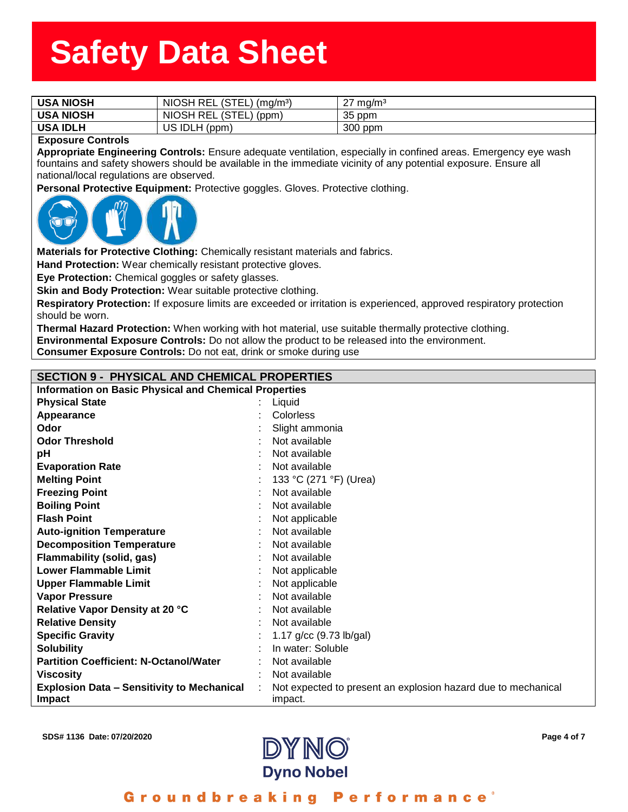| <b>USA NIOSH</b>         | NIOSH REL (STEL) (mg/m <sup>3</sup> ) | $27 \text{ mg/m}^3$ |
|--------------------------|---------------------------------------|---------------------|
| <b>USA NIOSH</b>         | NIOSH REL (STEL) (ppm)                | 35 ppm              |
| <b>USA IDLH</b>          | US IDLH (ppm)                         | 300 ppm             |
| <b>Exposure Controls</b> |                                       |                     |

**Appropriate Engineering Controls:** Ensure adequate ventilation, especially in confined areas. Emergency eye wash fountains and safety showers should be available in the immediate vicinity of any potential exposure. Ensure all national/local regulations are observed.

**Personal Protective Equipment:** Protective goggles. Gloves. Protective clothing.



**Materials for Protective Clothing:** Chemically resistant materials and fabrics.

**Hand Protection:** Wear chemically resistant protective gloves.

**Eye Protection:** Chemical goggles or safety glasses.

**Skin and Body Protection:** Wear suitable protective clothing.

**Respiratory Protection:** If exposure limits are exceeded or irritation is experienced, approved respiratory protection should be worn.

**Thermal Hazard Protection:** When working with hot material, use suitable thermally protective clothing. **Environmental Exposure Controls:** Do not allow the product to be released into the environment.

**Consumer Exposure Controls:** Do not eat, drink or smoke during use

### **SECTION 9 - PHYSICAL AND CHEMICAL PROPERTIES**

| <b>Information on Basic Physical and Chemical Properties</b>       |  |                                                                          |  |
|--------------------------------------------------------------------|--|--------------------------------------------------------------------------|--|
| <b>Physical State</b>                                              |  | Liquid                                                                   |  |
| Appearance                                                         |  | Colorless                                                                |  |
| Odor                                                               |  | Slight ammonia                                                           |  |
| <b>Odor Threshold</b>                                              |  | Not available                                                            |  |
| рH                                                                 |  | Not available                                                            |  |
| <b>Evaporation Rate</b>                                            |  | Not available                                                            |  |
| <b>Melting Point</b>                                               |  | 133 °C (271 °F) (Urea)                                                   |  |
| <b>Freezing Point</b>                                              |  | Not available                                                            |  |
| <b>Boiling Point</b>                                               |  | Not available                                                            |  |
| <b>Flash Point</b>                                                 |  | Not applicable                                                           |  |
| <b>Auto-ignition Temperature</b>                                   |  | Not available                                                            |  |
| <b>Decomposition Temperature</b>                                   |  | Not available                                                            |  |
| Flammability (solid, gas)                                          |  | Not available                                                            |  |
| <b>Lower Flammable Limit</b>                                       |  | Not applicable                                                           |  |
| <b>Upper Flammable Limit</b>                                       |  | Not applicable                                                           |  |
| <b>Vapor Pressure</b>                                              |  | Not available                                                            |  |
| Relative Vapor Density at 20 °C                                    |  | Not available                                                            |  |
| <b>Relative Density</b>                                            |  | Not available                                                            |  |
| <b>Specific Gravity</b>                                            |  | 1.17 g/cc (9.73 lb/gal)                                                  |  |
| <b>Solubility</b>                                                  |  | In water: Soluble                                                        |  |
| <b>Partition Coefficient: N-Octanol/Water</b>                      |  | Not available                                                            |  |
| <b>Viscosity</b>                                                   |  | Not available                                                            |  |
| <b>Explosion Data - Sensitivity to Mechanical</b><br><b>Impact</b> |  | Not expected to present an explosion hazard due to mechanical<br>impact. |  |



#### Groundbreaking **Performance**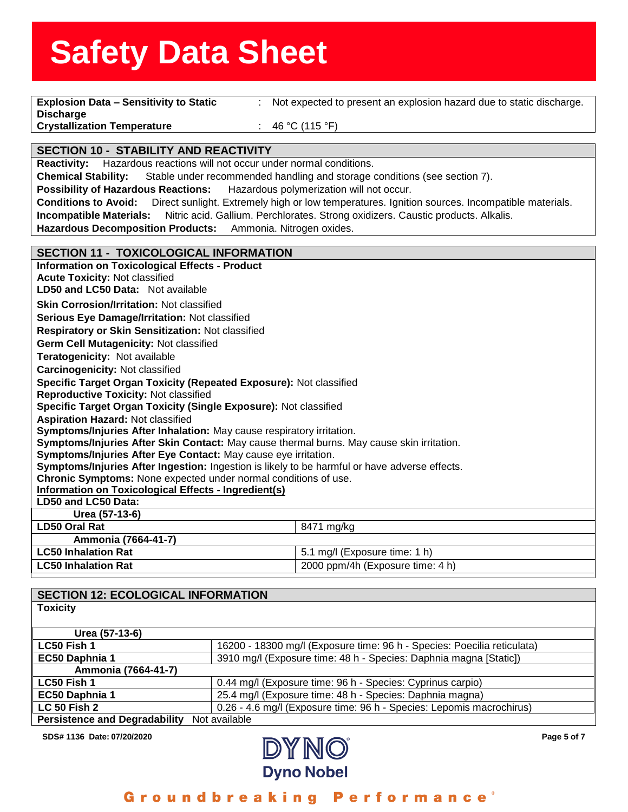| <b>Explosion Data - Sensitivity to Static</b><br>$\mathbb{R}^n$                                                                                                  | Not expected to present an explosion hazard due to static discharge.                           |  |
|------------------------------------------------------------------------------------------------------------------------------------------------------------------|------------------------------------------------------------------------------------------------|--|
| <b>Discharge</b>                                                                                                                                                 |                                                                                                |  |
| <b>Crystallization Temperature</b>                                                                                                                               | 46 °C (115 °F)                                                                                 |  |
| <b>SECTION 10 - STABILITY AND REACTIVITY</b>                                                                                                                     |                                                                                                |  |
| Reactivity: Hazardous reactions will not occur under normal conditions.                                                                                          |                                                                                                |  |
| <b>Chemical Stability:</b>                                                                                                                                       | Stable under recommended handling and storage conditions (see section 7).                      |  |
| <b>Possibility of Hazardous Reactions:</b>                                                                                                                       | Hazardous polymerization will not occur.                                                       |  |
| <b>Conditions to Avoid:</b>                                                                                                                                      | Direct sunlight. Extremely high or low temperatures. Ignition sources. Incompatible materials. |  |
| <b>Incompatible Materials:</b>                                                                                                                                   | Nitric acid. Gallium. Perchlorates. Strong oxidizers. Caustic products. Alkalis.               |  |
| <b>Hazardous Decomposition Products:</b><br>Ammonia. Nitrogen oxides.                                                                                            |                                                                                                |  |
|                                                                                                                                                                  |                                                                                                |  |
| <b>SECTION 11 - TOXICOLOGICAL INFORMATION</b>                                                                                                                    |                                                                                                |  |
| <b>Information on Toxicological Effects - Product</b>                                                                                                            |                                                                                                |  |
| <b>Acute Toxicity: Not classified</b>                                                                                                                            |                                                                                                |  |
| LD50 and LC50 Data: Not available                                                                                                                                |                                                                                                |  |
| <b>Skin Corrosion/Irritation: Not classified</b>                                                                                                                 |                                                                                                |  |
| Serious Eye Damage/Irritation: Not classified                                                                                                                    |                                                                                                |  |
| Respiratory or Skin Sensitization: Not classified                                                                                                                |                                                                                                |  |
| Germ Cell Mutagenicity: Not classified                                                                                                                           |                                                                                                |  |
| Teratogenicity: Not available                                                                                                                                    |                                                                                                |  |
| <b>Carcinogenicity: Not classified</b>                                                                                                                           |                                                                                                |  |
| Specific Target Organ Toxicity (Repeated Exposure): Not classified                                                                                               |                                                                                                |  |
| <b>Reproductive Toxicity: Not classified</b>                                                                                                                     |                                                                                                |  |
| Specific Target Organ Toxicity (Single Exposure): Not classified                                                                                                 |                                                                                                |  |
| <b>Aspiration Hazard: Not classified</b>                                                                                                                         |                                                                                                |  |
| Symptoms/Injuries After Inhalation: May cause respiratory irritation.                                                                                            |                                                                                                |  |
| Symptoms/Injuries After Skin Contact: May cause thermal burns. May cause skin irritation.                                                                        |                                                                                                |  |
| Symptoms/Injuries After Eye Contact: May cause eye irritation.                                                                                                   |                                                                                                |  |
| Symptoms/Injuries After Ingestion: Ingestion is likely to be harmful or have adverse effects.<br>Chronic Symptoms: None expected under normal conditions of use. |                                                                                                |  |
| Information on Toxicological Effects - Ingredient(s)                                                                                                             |                                                                                                |  |
| LD50 and LC50 Data:                                                                                                                                              |                                                                                                |  |
| Urea (57-13-6)                                                                                                                                                   |                                                                                                |  |
| <b>LD50 Oral Rat</b>                                                                                                                                             | 8471 mg/kg                                                                                     |  |
| Ammonia (7664-41-7)                                                                                                                                              |                                                                                                |  |
| <b>LC50 Inhalation Rat</b>                                                                                                                                       | 5.1 mg/l (Exposure time: 1 h)                                                                  |  |
| <b>LC50 Inhalation Rat</b>                                                                                                                                       | 2000 ppm/4h (Exposure time: 4 h)                                                               |  |
|                                                                                                                                                                  |                                                                                                |  |
| <b>SECTION 12: ECOLOGICAL INFORMATION</b>                                                                                                                        |                                                                                                |  |
|                                                                                                                                                                  |                                                                                                |  |

| <b>OXICITY</b> |  |
|----------------|--|
|                |  |

| Urea (57-13-6)                       |                                                                         |
|--------------------------------------|-------------------------------------------------------------------------|
| LC50 Fish 1                          | 16200 - 18300 mg/l (Exposure time: 96 h - Species: Poecilia reticulata) |
| EC50 Daphnia 1                       | 3910 mg/l (Exposure time: 48 h - Species: Daphnia magna [Static])       |
| Ammonia (7664-41-7)                  |                                                                         |
| LC50 Fish 1                          | 0.44 mg/l (Exposure time: 96 h - Species: Cyprinus carpio)              |
| EC50 Daphnia 1                       | 25.4 mg/l (Exposure time: 48 h - Species: Daphnia magna)                |
| <b>LC 50 Fish 2</b>                  | 0.26 - 4.6 mg/l (Exposure time: 96 h - Species: Lepomis macrochirus)    |
| <b>Persistence and Degradability</b> | Not available                                                           |



#### Groundbreaking Performance<sup>®</sup>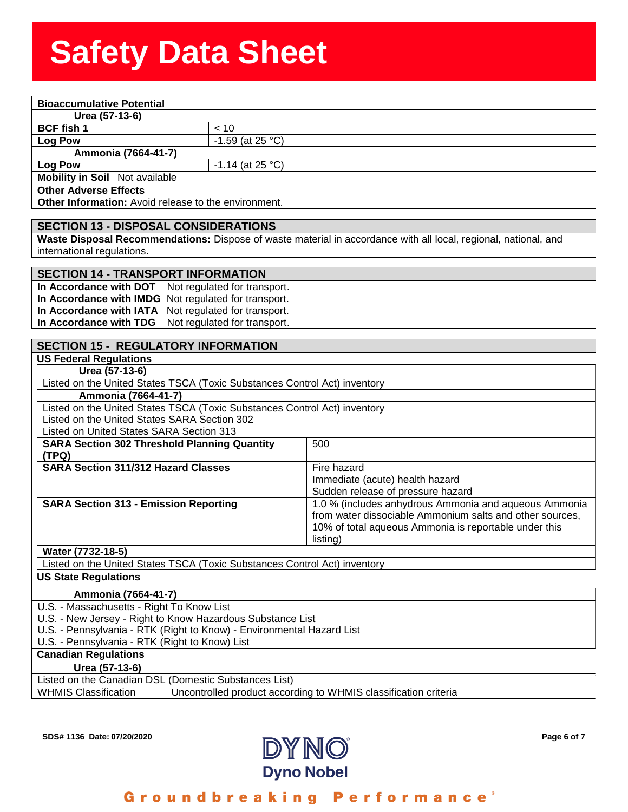| <b>Bioaccumulative Potential</b>                                                                                |                                                      |  |
|-----------------------------------------------------------------------------------------------------------------|------------------------------------------------------|--|
| Urea (57-13-6)                                                                                                  |                                                      |  |
| <b>BCF fish 1</b>                                                                                               | < 10                                                 |  |
| Log Pow                                                                                                         | $-1.59$ (at 25 °C)                                   |  |
| Ammonia (7664-41-7)                                                                                             |                                                      |  |
| <b>Log Pow</b>                                                                                                  | $-1.14$ (at 25 °C)                                   |  |
| <b>Mobility in Soil</b> Not available                                                                           |                                                      |  |
| <b>Other Adverse Effects</b>                                                                                    |                                                      |  |
| <b>Other Information:</b> Avoid release to the environment.                                                     |                                                      |  |
|                                                                                                                 |                                                      |  |
| <b>SECTION 13 - DISPOSAL CONSIDERATIONS</b>                                                                     |                                                      |  |
| Waste Disposal Recommendations: Dispose of waste material in accordance with all local, regional, national, and |                                                      |  |
| international regulations.                                                                                      |                                                      |  |
|                                                                                                                 |                                                      |  |
| <b>SECTION 14 - TRANSPORT INFORMATION</b>                                                                       |                                                      |  |
|                                                                                                                 | In Accordance with DOT Not regulated for transport.  |  |
|                                                                                                                 | In Accordance with IMDG Not regulated for transport. |  |
|                                                                                                                 |                                                      |  |

**In Accordance with IATA** Not regulated for transport. **In Accordance with TDG** Not regulated for transport.

| <b>SECTION 15 - REGULATORY INFORMATION</b>                                |                                                                 |  |
|---------------------------------------------------------------------------|-----------------------------------------------------------------|--|
| <b>US Federal Regulations</b>                                             |                                                                 |  |
| Urea (57-13-6)                                                            |                                                                 |  |
| Listed on the United States TSCA (Toxic Substances Control Act) inventory |                                                                 |  |
| Ammonia (7664-41-7)                                                       |                                                                 |  |
| Listed on the United States TSCA (Toxic Substances Control Act) inventory |                                                                 |  |
| Listed on the United States SARA Section 302                              |                                                                 |  |
| Listed on United States SARA Section 313                                  |                                                                 |  |
| <b>SARA Section 302 Threshold Planning Quantity</b>                       | 500                                                             |  |
| (TPQ)                                                                     |                                                                 |  |
| <b>SARA Section 311/312 Hazard Classes</b>                                | Fire hazard                                                     |  |
|                                                                           | Immediate (acute) health hazard                                 |  |
|                                                                           | Sudden release of pressure hazard                               |  |
| <b>SARA Section 313 - Emission Reporting</b>                              | 1.0 % (includes anhydrous Ammonia and aqueous Ammonia           |  |
|                                                                           | from water dissociable Ammonium salts and other sources,        |  |
|                                                                           | 10% of total aqueous Ammonia is reportable under this           |  |
|                                                                           | listing)                                                        |  |
| Water (7732-18-5)                                                         |                                                                 |  |
| Listed on the United States TSCA (Toxic Substances Control Act) inventory |                                                                 |  |
| <b>US State Regulations</b>                                               |                                                                 |  |
| Ammonia (7664-41-7)                                                       |                                                                 |  |
| U.S. - Massachusetts - Right To Know List                                 |                                                                 |  |
| U.S. - New Jersey - Right to Know Hazardous Substance List                |                                                                 |  |
| U.S. - Pennsylvania - RTK (Right to Know) - Environmental Hazard List     |                                                                 |  |
| U.S. - Pennsylvania - RTK (Right to Know) List                            |                                                                 |  |
| <b>Canadian Regulations</b>                                               |                                                                 |  |
| Urea (57-13-6)                                                            |                                                                 |  |
| Listed on the Canadian DSL (Domestic Substances List)                     |                                                                 |  |
| <b>WHMIS Classification</b>                                               | Uncontrolled product according to WHMIS classification criteria |  |
|                                                                           |                                                                 |  |



#### Groundbreaking Performance<sup>®</sup>